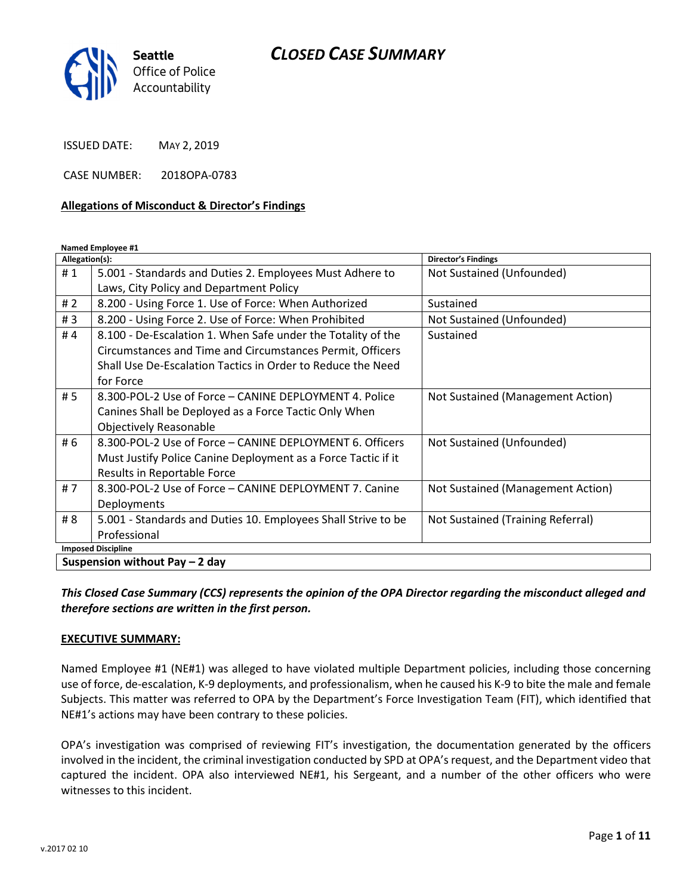

ISSUED DATE: MAY 2, 2019

CASE NUMBER: 2018OPA-0783

### Allegations of Misconduct & Director's Findings

Named Employee #1

| Allegation(s):                  |                                                               | <b>Director's Findings</b>        |
|---------------------------------|---------------------------------------------------------------|-----------------------------------|
| #1                              | 5.001 - Standards and Duties 2. Employees Must Adhere to      | Not Sustained (Unfounded)         |
|                                 | Laws, City Policy and Department Policy                       |                                   |
| #2                              | 8.200 - Using Force 1. Use of Force: When Authorized          | Sustained                         |
| #3                              | 8.200 - Using Force 2. Use of Force: When Prohibited          | Not Sustained (Unfounded)         |
| #4                              | 8.100 - De-Escalation 1. When Safe under the Totality of the  | Sustained                         |
|                                 | Circumstances and Time and Circumstances Permit, Officers     |                                   |
|                                 | Shall Use De-Escalation Tactics in Order to Reduce the Need   |                                   |
|                                 | for Force                                                     |                                   |
| # 5                             | 8.300-POL-2 Use of Force - CANINE DEPLOYMENT 4. Police        | Not Sustained (Management Action) |
|                                 | Canines Shall be Deployed as a Force Tactic Only When         |                                   |
|                                 | <b>Objectively Reasonable</b>                                 |                                   |
| # 6                             | 8.300-POL-2 Use of Force - CANINE DEPLOYMENT 6. Officers      | Not Sustained (Unfounded)         |
|                                 | Must Justify Police Canine Deployment as a Force Tactic if it |                                   |
|                                 | Results in Reportable Force                                   |                                   |
| #7                              | 8.300-POL-2 Use of Force - CANINE DEPLOYMENT 7. Canine        | Not Sustained (Management Action) |
|                                 | Deployments                                                   |                                   |
| # 8                             | 5.001 - Standards and Duties 10. Employees Shall Strive to be | Not Sustained (Training Referral) |
|                                 | Professional                                                  |                                   |
| <b>Imposed Discipline</b>       |                                                               |                                   |
| Suspension without Pay $-2$ day |                                                               |                                   |

This Closed Case Summary (CCS) represents the opinion of the OPA Director regarding the misconduct alleged and therefore sections are written in the first person.

### EXECUTIVE SUMMARY:

Named Employee #1 (NE#1) was alleged to have violated multiple Department policies, including those concerning use of force, de-escalation, K-9 deployments, and professionalism, when he caused his K-9 to bite the male and female Subjects. This matter was referred to OPA by the Department's Force Investigation Team (FIT), which identified that NE#1's actions may have been contrary to these policies.

OPA's investigation was comprised of reviewing FIT's investigation, the documentation generated by the officers involved in the incident, the criminal investigation conducted by SPD at OPA's request, and the Department video that captured the incident. OPA also interviewed NE#1, his Sergeant, and a number of the other officers who were witnesses to this incident.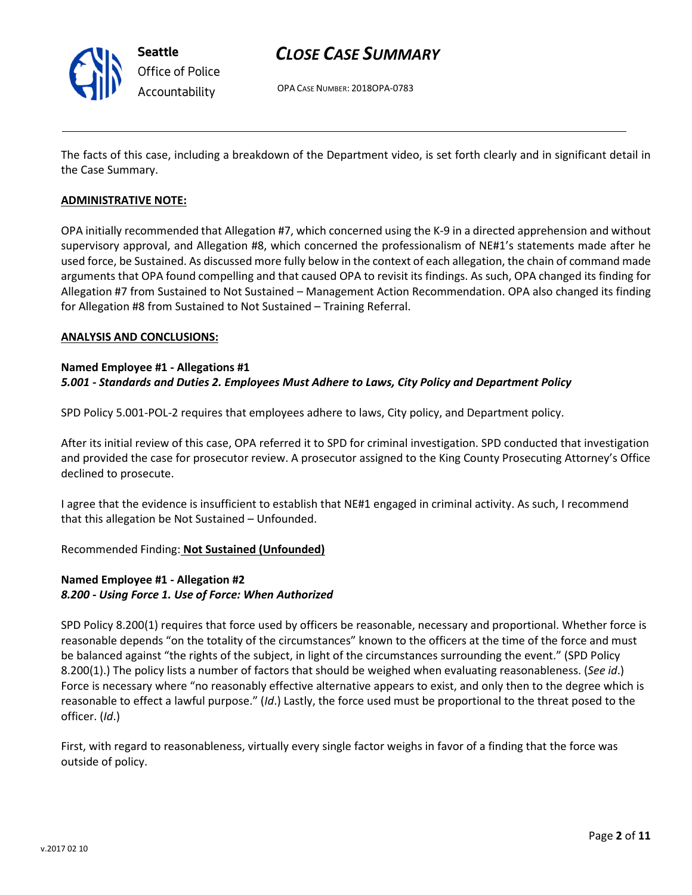

# CLOSE CASE SUMMARY

OPA CASE NUMBER: 2018OPA-0783

The facts of this case, including a breakdown of the Department video, is set forth clearly and in significant detail in the Case Summary.

### ADMINISTRATIVE NOTE:

OPA initially recommended that Allegation #7, which concerned using the K-9 in a directed apprehension and without supervisory approval, and Allegation #8, which concerned the professionalism of NE#1's statements made after he used force, be Sustained. As discussed more fully below in the context of each allegation, the chain of command made arguments that OPA found compelling and that caused OPA to revisit its findings. As such, OPA changed its finding for Allegation #7 from Sustained to Not Sustained – Management Action Recommendation. OPA also changed its finding for Allegation #8 from Sustained to Not Sustained – Training Referral.

### ANALYSIS AND CONCLUSIONS:

### Named Employee #1 - Allegations #1 5.001 - Standards and Duties 2. Employees Must Adhere to Laws, City Policy and Department Policy

SPD Policy 5.001-POL-2 requires that employees adhere to laws, City policy, and Department policy.

After its initial review of this case, OPA referred it to SPD for criminal investigation. SPD conducted that investigation and provided the case for prosecutor review. A prosecutor assigned to the King County Prosecuting Attorney's Office declined to prosecute.

I agree that the evidence is insufficient to establish that NE#1 engaged in criminal activity. As such, I recommend that this allegation be Not Sustained – Unfounded.

### Recommended Finding: Not Sustained (Unfounded)

### Named Employee #1 - Allegation #2 8.200 - Using Force 1. Use of Force: When Authorized

SPD Policy 8.200(1) requires that force used by officers be reasonable, necessary and proportional. Whether force is reasonable depends "on the totality of the circumstances" known to the officers at the time of the force and must be balanced against "the rights of the subject, in light of the circumstances surrounding the event." (SPD Policy 8.200(1).) The policy lists a number of factors that should be weighed when evaluating reasonableness. (See id.) Force is necessary where "no reasonably effective alternative appears to exist, and only then to the degree which is reasonable to effect a lawful purpose." (Id.) Lastly, the force used must be proportional to the threat posed to the officer. (Id.)

First, with regard to reasonableness, virtually every single factor weighs in favor of a finding that the force was outside of policy.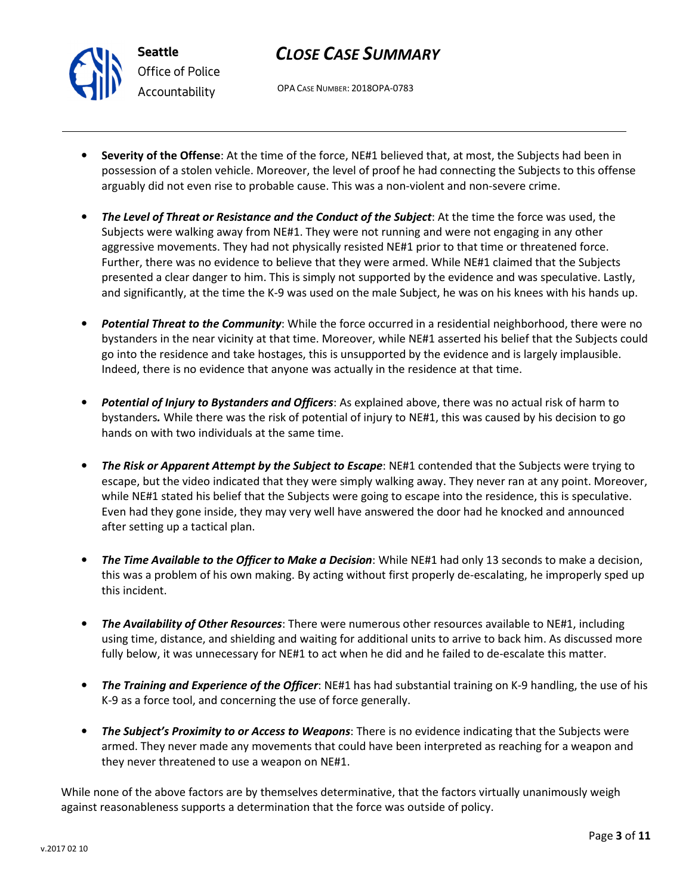# CLOSE CASE SUMMARY

OPA CASE NUMBER: 2018OPA-0783

- Severity of the Offense: At the time of the force, NE#1 believed that, at most, the Subjects had been in possession of a stolen vehicle. Moreover, the level of proof he had connecting the Subjects to this offense arguably did not even rise to probable cause. This was a non-violent and non-severe crime.
- The Level of Threat or Resistance and the Conduct of the Subject: At the time the force was used, the Subjects were walking away from NE#1. They were not running and were not engaging in any other aggressive movements. They had not physically resisted NE#1 prior to that time or threatened force. Further, there was no evidence to believe that they were armed. While NE#1 claimed that the Subjects presented a clear danger to him. This is simply not supported by the evidence and was speculative. Lastly, and significantly, at the time the K-9 was used on the male Subject, he was on his knees with his hands up.
- Potential Threat to the Community: While the force occurred in a residential neighborhood, there were no bystanders in the near vicinity at that time. Moreover, while NE#1 asserted his belief that the Subjects could go into the residence and take hostages, this is unsupported by the evidence and is largely implausible. Indeed, there is no evidence that anyone was actually in the residence at that time.
- Potential of Injury to Bystanders and Officers: As explained above, there was no actual risk of harm to bystanders. While there was the risk of potential of injury to NE#1, this was caused by his decision to go hands on with two individuals at the same time.
- The Risk or Apparent Attempt by the Subject to Escape: NE#1 contended that the Subjects were trying to escape, but the video indicated that they were simply walking away. They never ran at any point. Moreover, while NE#1 stated his belief that the Subjects were going to escape into the residence, this is speculative. Even had they gone inside, they may very well have answered the door had he knocked and announced after setting up a tactical plan.
- The Time Available to the Officer to Make a Decision: While NE#1 had only 13 seconds to make a decision, this was a problem of his own making. By acting without first properly de-escalating, he improperly sped up this incident.
- **The Availability of Other Resources**: There were numerous other resources available to NE#1, including using time, distance, and shielding and waiting for additional units to arrive to back him. As discussed more fully below, it was unnecessary for NE#1 to act when he did and he failed to de-escalate this matter.
- The Training and Experience of the Officer: NE#1 has had substantial training on K-9 handling, the use of his K-9 as a force tool, and concerning the use of force generally.
- **The Subject's Proximity to or Access to Weapons:** There is no evidence indicating that the Subjects were armed. They never made any movements that could have been interpreted as reaching for a weapon and they never threatened to use a weapon on NE#1.

While none of the above factors are by themselves determinative, that the factors virtually unanimously weigh against reasonableness supports a determination that the force was outside of policy.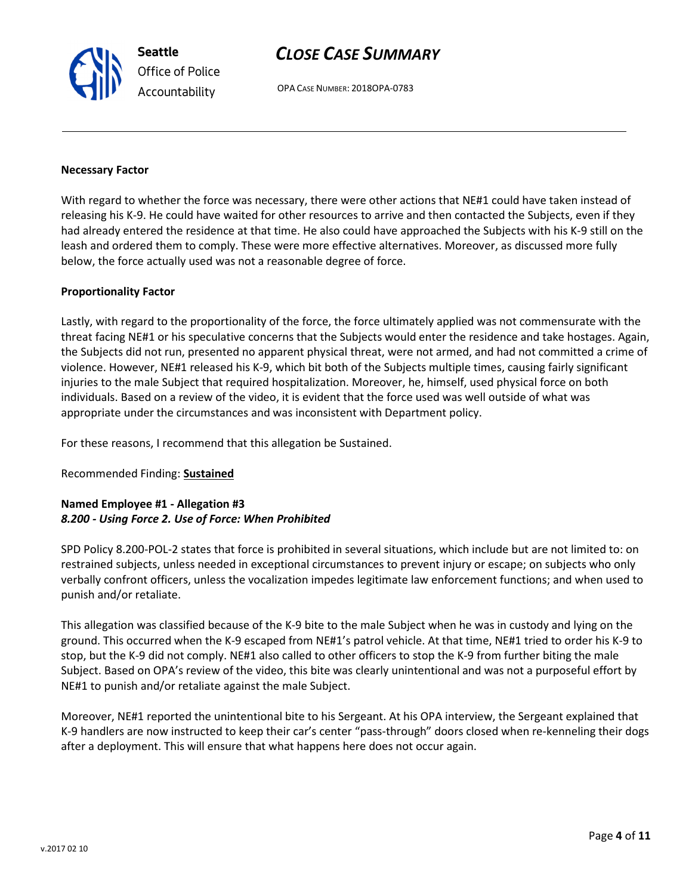# CLOSE CASE SUMMARY

OPA CASE NUMBER: 2018OPA-0783

#### Necessary Factor

With regard to whether the force was necessary, there were other actions that NE#1 could have taken instead of releasing his K-9. He could have waited for other resources to arrive and then contacted the Subjects, even if they had already entered the residence at that time. He also could have approached the Subjects with his K-9 still on the leash and ordered them to comply. These were more effective alternatives. Moreover, as discussed more fully below, the force actually used was not a reasonable degree of force.

### Proportionality Factor

Lastly, with regard to the proportionality of the force, the force ultimately applied was not commensurate with the threat facing NE#1 or his speculative concerns that the Subjects would enter the residence and take hostages. Again, the Subjects did not run, presented no apparent physical threat, were not armed, and had not committed a crime of violence. However, NE#1 released his K-9, which bit both of the Subjects multiple times, causing fairly significant injuries to the male Subject that required hospitalization. Moreover, he, himself, used physical force on both individuals. Based on a review of the video, it is evident that the force used was well outside of what was appropriate under the circumstances and was inconsistent with Department policy.

For these reasons, I recommend that this allegation be Sustained.

### Recommended Finding: Sustained

### Named Employee #1 - Allegation #3 8.200 - Using Force 2. Use of Force: When Prohibited

SPD Policy 8.200-POL-2 states that force is prohibited in several situations, which include but are not limited to: on restrained subjects, unless needed in exceptional circumstances to prevent injury or escape; on subjects who only verbally confront officers, unless the vocalization impedes legitimate law enforcement functions; and when used to punish and/or retaliate.

This allegation was classified because of the K-9 bite to the male Subject when he was in custody and lying on the ground. This occurred when the K-9 escaped from NE#1's patrol vehicle. At that time, NE#1 tried to order his K-9 to stop, but the K-9 did not comply. NE#1 also called to other officers to stop the K-9 from further biting the male Subject. Based on OPA's review of the video, this bite was clearly unintentional and was not a purposeful effort by NE#1 to punish and/or retaliate against the male Subject.

Moreover, NE#1 reported the unintentional bite to his Sergeant. At his OPA interview, the Sergeant explained that K-9 handlers are now instructed to keep their car's center "pass-through" doors closed when re-kenneling their dogs after a deployment. This will ensure that what happens here does not occur again.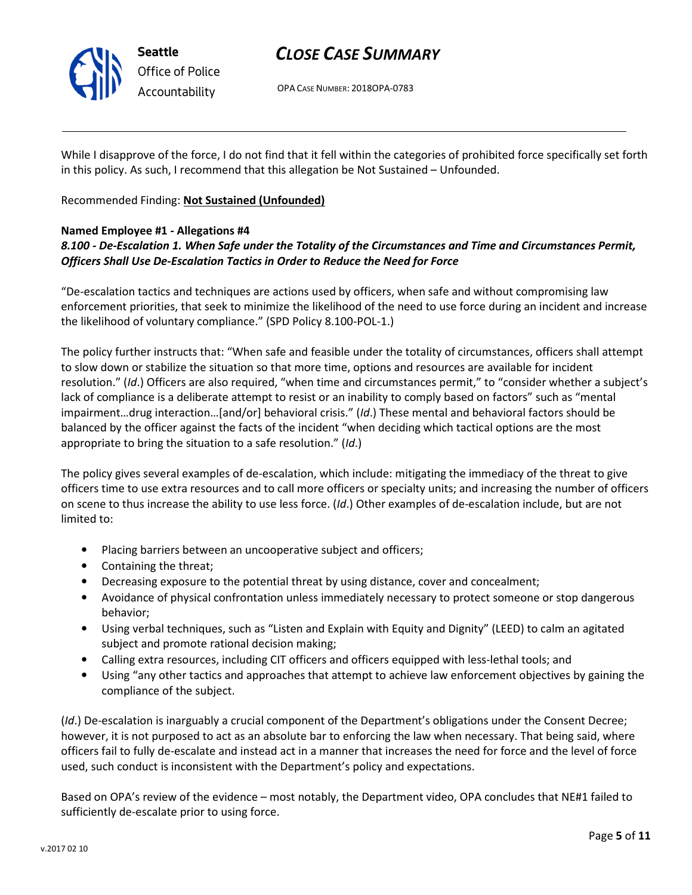

OPA CASE NUMBER: 2018OPA-0783

While I disapprove of the force, I do not find that it fell within the categories of prohibited force specifically set forth in this policy. As such, I recommend that this allegation be Not Sustained – Unfounded.

Recommended Finding: Not Sustained (Unfounded)

### Named Employee #1 - Allegations #4

## 8.100 - De-Escalation 1. When Safe under the Totality of the Circumstances and Time and Circumstances Permit, Officers Shall Use De-Escalation Tactics in Order to Reduce the Need for Force

"De-escalation tactics and techniques are actions used by officers, when safe and without compromising law enforcement priorities, that seek to minimize the likelihood of the need to use force during an incident and increase the likelihood of voluntary compliance." (SPD Policy 8.100-POL-1.)

The policy further instructs that: "When safe and feasible under the totality of circumstances, officers shall attempt to slow down or stabilize the situation so that more time, options and resources are available for incident resolution." (Id.) Officers are also required, "when time and circumstances permit," to "consider whether a subject's lack of compliance is a deliberate attempt to resist or an inability to comply based on factors" such as "mental impairment…drug interaction…[and/or] behavioral crisis." (Id.) These mental and behavioral factors should be balanced by the officer against the facts of the incident "when deciding which tactical options are the most appropriate to bring the situation to a safe resolution." (Id.)

The policy gives several examples of de-escalation, which include: mitigating the immediacy of the threat to give officers time to use extra resources and to call more officers or specialty units; and increasing the number of officers on scene to thus increase the ability to use less force. (Id.) Other examples of de-escalation include, but are not limited to:

- Placing barriers between an uncooperative subject and officers;
- Containing the threat;
- Decreasing exposure to the potential threat by using distance, cover and concealment;
- Avoidance of physical confrontation unless immediately necessary to protect someone or stop dangerous behavior;
- Using verbal techniques, such as "Listen and Explain with Equity and Dignity" (LEED) to calm an agitated subject and promote rational decision making;
- Calling extra resources, including CIT officers and officers equipped with less-lethal tools; and
- Using "any other tactics and approaches that attempt to achieve law enforcement objectives by gaining the compliance of the subject.

(Id.) De-escalation is inarguably a crucial component of the Department's obligations under the Consent Decree; however, it is not purposed to act as an absolute bar to enforcing the law when necessary. That being said, where officers fail to fully de-escalate and instead act in a manner that increases the need for force and the level of force used, such conduct is inconsistent with the Department's policy and expectations.

Based on OPA's review of the evidence – most notably, the Department video, OPA concludes that NE#1 failed to sufficiently de-escalate prior to using force.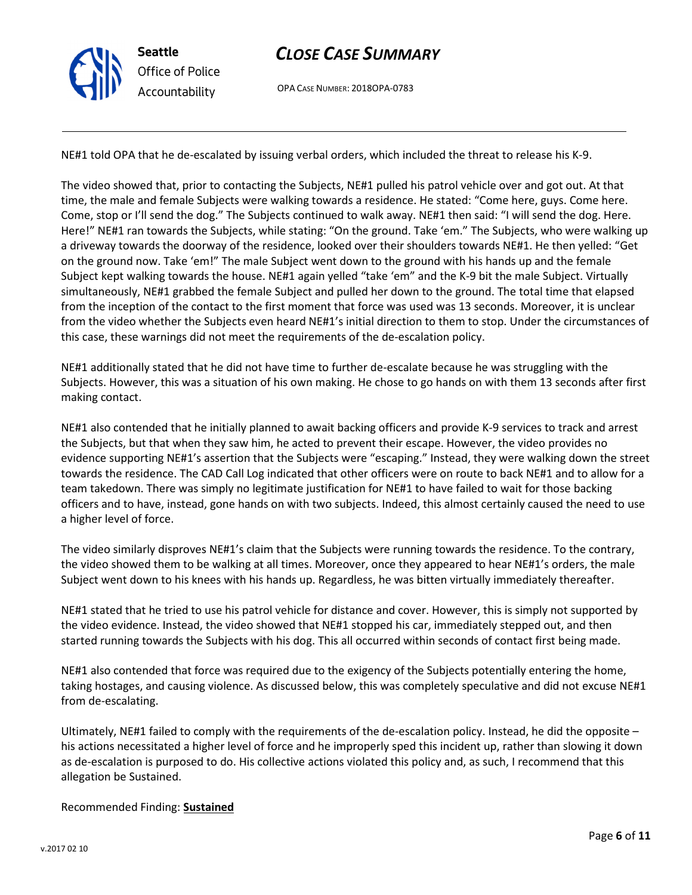

OPA CASE NUMBER: 2018OPA-0783

NE#1 told OPA that he de-escalated by issuing verbal orders, which included the threat to release his K-9.

The video showed that, prior to contacting the Subjects, NE#1 pulled his patrol vehicle over and got out. At that time, the male and female Subjects were walking towards a residence. He stated: "Come here, guys. Come here. Come, stop or I'll send the dog." The Subjects continued to walk away. NE#1 then said: "I will send the dog. Here. Here!" NE#1 ran towards the Subjects, while stating: "On the ground. Take 'em." The Subjects, who were walking up a driveway towards the doorway of the residence, looked over their shoulders towards NE#1. He then yelled: "Get on the ground now. Take 'em!" The male Subject went down to the ground with his hands up and the female Subject kept walking towards the house. NE#1 again yelled "take 'em" and the K-9 bit the male Subject. Virtually simultaneously, NE#1 grabbed the female Subject and pulled her down to the ground. The total time that elapsed from the inception of the contact to the first moment that force was used was 13 seconds. Moreover, it is unclear from the video whether the Subjects even heard NE#1's initial direction to them to stop. Under the circumstances of this case, these warnings did not meet the requirements of the de-escalation policy.

NE#1 additionally stated that he did not have time to further de-escalate because he was struggling with the Subjects. However, this was a situation of his own making. He chose to go hands on with them 13 seconds after first making contact.

NE#1 also contended that he initially planned to await backing officers and provide K-9 services to track and arrest the Subjects, but that when they saw him, he acted to prevent their escape. However, the video provides no evidence supporting NE#1's assertion that the Subjects were "escaping." Instead, they were walking down the street towards the residence. The CAD Call Log indicated that other officers were on route to back NE#1 and to allow for a team takedown. There was simply no legitimate justification for NE#1 to have failed to wait for those backing officers and to have, instead, gone hands on with two subjects. Indeed, this almost certainly caused the need to use a higher level of force.

The video similarly disproves NE#1's claim that the Subjects were running towards the residence. To the contrary, the video showed them to be walking at all times. Moreover, once they appeared to hear NE#1's orders, the male Subject went down to his knees with his hands up. Regardless, he was bitten virtually immediately thereafter.

NE#1 stated that he tried to use his patrol vehicle for distance and cover. However, this is simply not supported by the video evidence. Instead, the video showed that NE#1 stopped his car, immediately stepped out, and then started running towards the Subjects with his dog. This all occurred within seconds of contact first being made.

NE#1 also contended that force was required due to the exigency of the Subjects potentially entering the home, taking hostages, and causing violence. As discussed below, this was completely speculative and did not excuse NE#1 from de-escalating.

Ultimately, NE#1 failed to comply with the requirements of the de-escalation policy. Instead, he did the opposite – his actions necessitated a higher level of force and he improperly sped this incident up, rather than slowing it down as de-escalation is purposed to do. His collective actions violated this policy and, as such, I recommend that this allegation be Sustained.

### Recommended Finding: Sustained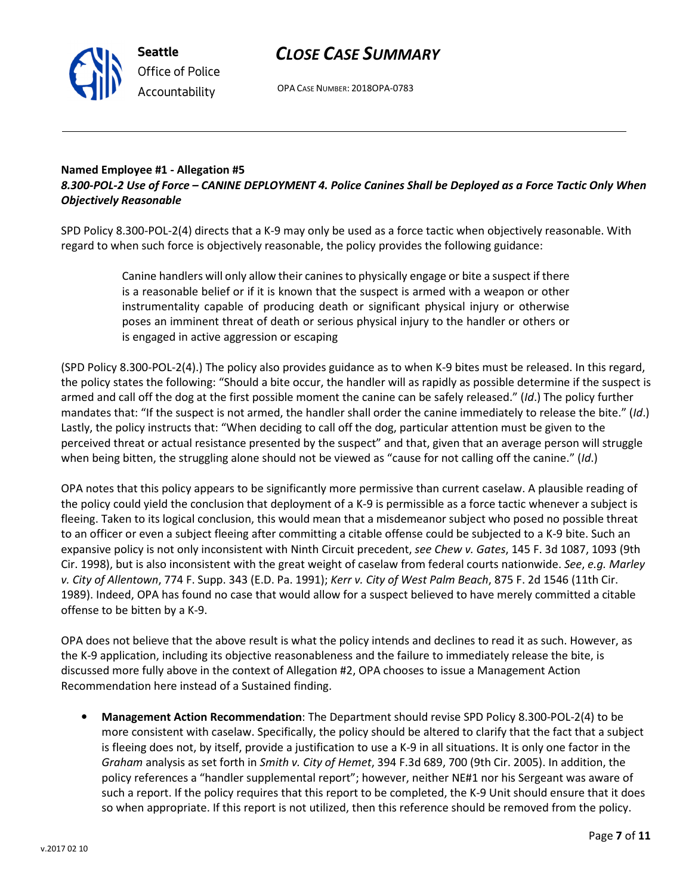OPA CASE NUMBER: 2018OPA-0783

### Named Employee #1 - Allegation #5 8.300-POL-2 Use of Force – CANINE DEPLOYMENT 4. Police Canines Shall be Deployed as a Force Tactic Only When Objectively Reasonable

SPD Policy 8.300-POL-2(4) directs that a K-9 may only be used as a force tactic when objectively reasonable. With regard to when such force is objectively reasonable, the policy provides the following guidance:

> Canine handlers will only allow their canines to physically engage or bite a suspect if there is a reasonable belief or if it is known that the suspect is armed with a weapon or other instrumentality capable of producing death or significant physical injury or otherwise poses an imminent threat of death or serious physical injury to the handler or others or is engaged in active aggression or escaping

(SPD Policy 8.300-POL-2(4).) The policy also provides guidance as to when K-9 bites must be released. In this regard, the policy states the following: "Should a bite occur, the handler will as rapidly as possible determine if the suspect is armed and call off the dog at the first possible moment the canine can be safely released." (Id.) The policy further mandates that: "If the suspect is not armed, the handler shall order the canine immediately to release the bite." (Id.) Lastly, the policy instructs that: "When deciding to call off the dog, particular attention must be given to the perceived threat or actual resistance presented by the suspect" and that, given that an average person will struggle when being bitten, the struggling alone should not be viewed as "cause for not calling off the canine." (Id.)

OPA notes that this policy appears to be significantly more permissive than current caselaw. A plausible reading of the policy could yield the conclusion that deployment of a K-9 is permissible as a force tactic whenever a subject is fleeing. Taken to its logical conclusion, this would mean that a misdemeanor subject who posed no possible threat to an officer or even a subject fleeing after committing a citable offense could be subjected to a K-9 bite. Such an expansive policy is not only inconsistent with Ninth Circuit precedent, see Chew v. Gates, 145 F. 3d 1087, 1093 (9th Cir. 1998), but is also inconsistent with the great weight of caselaw from federal courts nationwide. See, e.g. Marley v. City of Allentown, 774 F. Supp. 343 (E.D. Pa. 1991); Kerr v. City of West Palm Beach, 875 F. 2d 1546 (11th Cir. 1989). Indeed, OPA has found no case that would allow for a suspect believed to have merely committed a citable offense to be bitten by a K-9.

OPA does not believe that the above result is what the policy intends and declines to read it as such. However, as the K-9 application, including its objective reasonableness and the failure to immediately release the bite, is discussed more fully above in the context of Allegation #2, OPA chooses to issue a Management Action Recommendation here instead of a Sustained finding.

• Management Action Recommendation: The Department should revise SPD Policy 8.300-POL-2(4) to be more consistent with caselaw. Specifically, the policy should be altered to clarify that the fact that a subject is fleeing does not, by itself, provide a justification to use a K-9 in all situations. It is only one factor in the Graham analysis as set forth in Smith v. City of Hemet, 394 F.3d 689, 700 (9th Cir. 2005). In addition, the policy references a "handler supplemental report"; however, neither NE#1 nor his Sergeant was aware of such a report. If the policy requires that this report to be completed, the K-9 Unit should ensure that it does so when appropriate. If this report is not utilized, then this reference should be removed from the policy.



Seattle Office of Police Accountability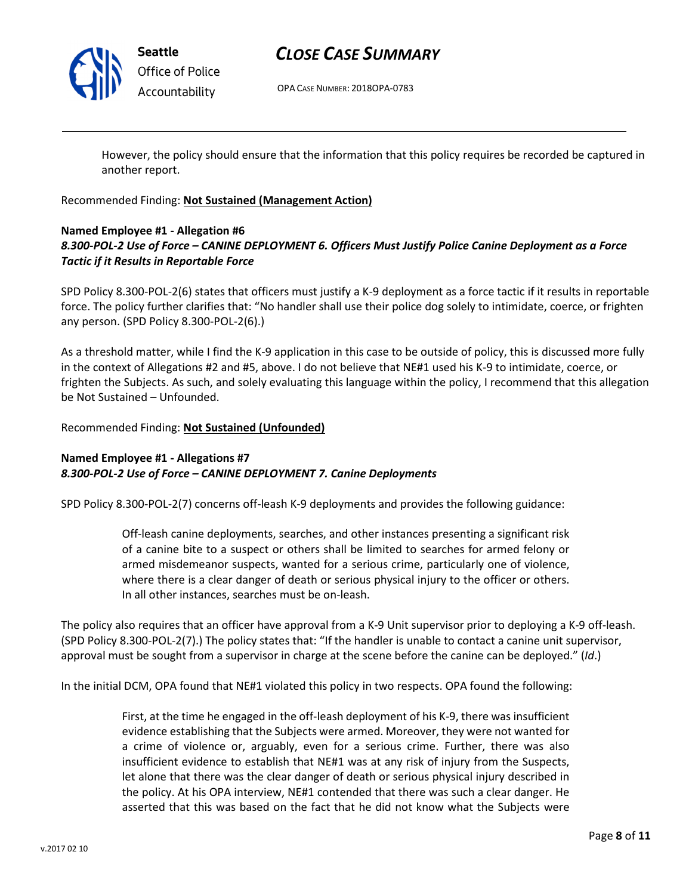

# CLOSE CASE SUMMARY

OPA CASE NUMBER: 2018OPA-0783

However, the policy should ensure that the information that this policy requires be recorded be captured in another report.

Recommended Finding: Not Sustained (Management Action)

### Named Employee #1 - Allegation #6 8.300-POL-2 Use of Force – CANINE DEPLOYMENT 6. Officers Must Justify Police Canine Deployment as a Force Tactic if it Results in Reportable Force

SPD Policy 8.300-POL-2(6) states that officers must justify a K-9 deployment as a force tactic if it results in reportable force. The policy further clarifies that: "No handler shall use their police dog solely to intimidate, coerce, or frighten any person. (SPD Policy 8.300-POL-2(6).)

As a threshold matter, while I find the K-9 application in this case to be outside of policy, this is discussed more fully in the context of Allegations #2 and #5, above. I do not believe that NE#1 used his K-9 to intimidate, coerce, or frighten the Subjects. As such, and solely evaluating this language within the policy, I recommend that this allegation be Not Sustained – Unfounded.

Recommended Finding: Not Sustained (Unfounded)

## Named Employee #1 - Allegations #7 8.300-POL-2 Use of Force – CANINE DEPLOYMENT 7. Canine Deployments

SPD Policy 8.300-POL-2(7) concerns off-leash K-9 deployments and provides the following guidance:

Off-leash canine deployments, searches, and other instances presenting a significant risk of a canine bite to a suspect or others shall be limited to searches for armed felony or armed misdemeanor suspects, wanted for a serious crime, particularly one of violence, where there is a clear danger of death or serious physical injury to the officer or others. In all other instances, searches must be on-leash.

The policy also requires that an officer have approval from a K-9 Unit supervisor prior to deploying a K-9 off-leash. (SPD Policy 8.300-POL-2(7).) The policy states that: "If the handler is unable to contact a canine unit supervisor, approval must be sought from a supervisor in charge at the scene before the canine can be deployed." (Id.)

In the initial DCM, OPA found that NE#1 violated this policy in two respects. OPA found the following:

First, at the time he engaged in the off-leash deployment of his K-9, there was insufficient evidence establishing that the Subjects were armed. Moreover, they were not wanted for a crime of violence or, arguably, even for a serious crime. Further, there was also insufficient evidence to establish that NE#1 was at any risk of injury from the Suspects, let alone that there was the clear danger of death or serious physical injury described in the policy. At his OPA interview, NE#1 contended that there was such a clear danger. He asserted that this was based on the fact that he did not know what the Subjects were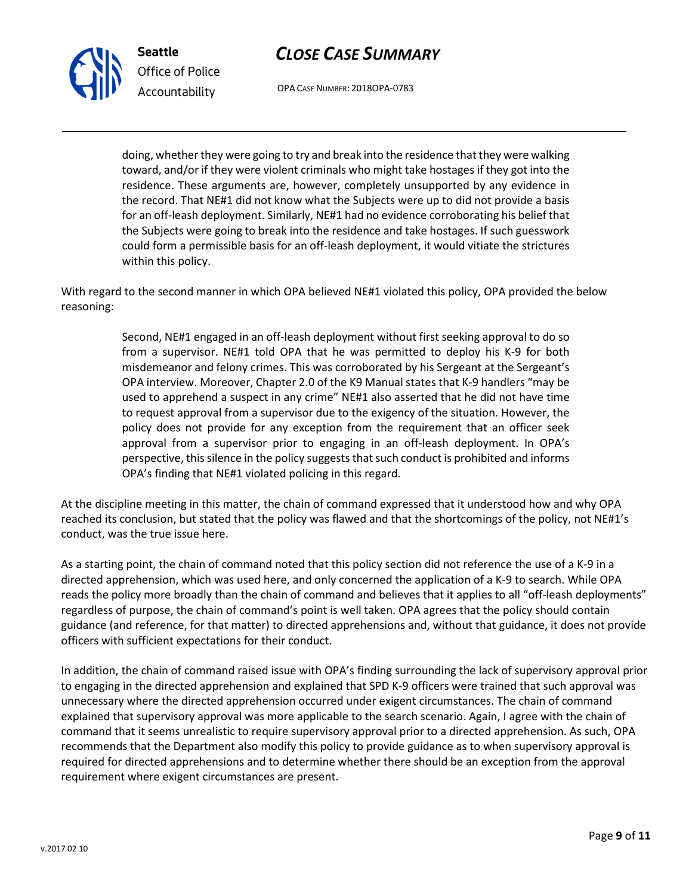



OPA CASE NUMBER: 2018OPA-0783

doing, whether they were going to try and break into the residence that they were walking toward, and/or if they were violent criminals who might take hostages if they got into the residence. These arguments are, however, completely unsupported by any evidence in the record. That NE#1 did not know what the Subjects were up to did not provide a basis for an off-leash deployment. Similarly, NE#1 had no evidence corroborating his belief that the Subjects were going to break into the residence and take hostages. If such guesswork could form a permissible basis for an off-leash deployment, it would vitiate the strictures within this policy.

With regard to the second manner in which OPA believed NE#1 violated this policy, OPA provided the below reasoning:

> Second, NE#1 engaged in an off-leash deployment without first seeking approval to do so from a supervisor. NE#1 told OPA that he was permitted to deploy his K-9 for both misdemeanor and felony crimes. This was corroborated by his Sergeant at the Sergeant's OPA interview. Moreover, Chapter 2.0 of the K9 Manual states that K-9 handlers "may be used to apprehend a suspect in any crime" NE#1 also asserted that he did not have time to request approval from a supervisor due to the exigency of the situation. However, the policy does not provide for any exception from the requirement that an officer seek approval from a supervisor prior to engaging in an off-leash deployment. In OPA's perspective, this silence in the policy suggests that such conduct is prohibited and informs OPA's finding that NE#1 violated policing in this regard.

At the discipline meeting in this matter, the chain of command expressed that it understood how and why OPA reached its conclusion, but stated that the policy was flawed and that the shortcomings of the policy, not NE#1's conduct, was the true issue here.

As a starting point, the chain of command noted that this policy section did not reference the use of a K-9 in a directed apprehension, which was used here, and only concerned the application of a K-9 to search. While OPA reads the policy more broadly than the chain of command and believes that it applies to all "off-leash deployments" regardless of purpose, the chain of command's point is well taken. OPA agrees that the policy should contain guidance (and reference, for that matter) to directed apprehensions and, without that guidance, it does not provide officers with sufficient expectations for their conduct.

In addition, the chain of command raised issue with OPA's finding surrounding the lack of supervisory approval prior to engaging in the directed apprehension and explained that SPD K-9 officers were trained that such approval was unnecessary where the directed apprehension occurred under exigent circumstances. The chain of command explained that supervisory approval was more applicable to the search scenario. Again, I agree with the chain of command that it seems unrealistic to require supervisory approval prior to a directed apprehension. As such, OPA recommends that the Department also modify this policy to provide guidance as to when supervisory approval is required for directed apprehensions and to determine whether there should be an exception from the approval requirement where exigent circumstances are present.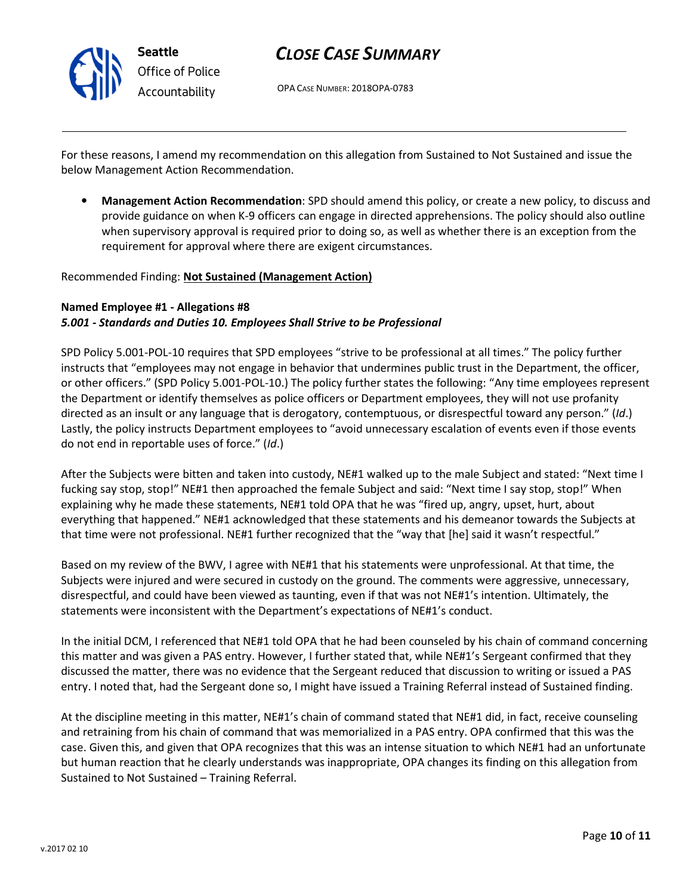

OPA CASE NUMBER: 2018OPA-0783

For these reasons, I amend my recommendation on this allegation from Sustained to Not Sustained and issue the below Management Action Recommendation.

• Management Action Recommendation: SPD should amend this policy, or create a new policy, to discuss and provide guidance on when K-9 officers can engage in directed apprehensions. The policy should also outline when supervisory approval is required prior to doing so, as well as whether there is an exception from the requirement for approval where there are exigent circumstances.

### Recommended Finding: Not Sustained (Management Action)

### Named Employee #1 - Allegations #8 5.001 - Standards and Duties 10. Employees Shall Strive to be Professional

SPD Policy 5.001-POL-10 requires that SPD employees "strive to be professional at all times." The policy further instructs that "employees may not engage in behavior that undermines public trust in the Department, the officer, or other officers." (SPD Policy 5.001-POL-10.) The policy further states the following: "Any time employees represent the Department or identify themselves as police officers or Department employees, they will not use profanity directed as an insult or any language that is derogatory, contemptuous, or disrespectful toward any person." (Id.) Lastly, the policy instructs Department employees to "avoid unnecessary escalation of events even if those events do not end in reportable uses of force." (Id.)

After the Subjects were bitten and taken into custody, NE#1 walked up to the male Subject and stated: "Next time I fucking say stop, stop!" NE#1 then approached the female Subject and said: "Next time I say stop, stop!" When explaining why he made these statements, NE#1 told OPA that he was "fired up, angry, upset, hurt, about everything that happened." NE#1 acknowledged that these statements and his demeanor towards the Subjects at that time were not professional. NE#1 further recognized that the "way that [he] said it wasn't respectful."

Based on my review of the BWV, I agree with NE#1 that his statements were unprofessional. At that time, the Subjects were injured and were secured in custody on the ground. The comments were aggressive, unnecessary, disrespectful, and could have been viewed as taunting, even if that was not NE#1's intention. Ultimately, the statements were inconsistent with the Department's expectations of NE#1's conduct.

In the initial DCM, I referenced that NE#1 told OPA that he had been counseled by his chain of command concerning this matter and was given a PAS entry. However, I further stated that, while NE#1's Sergeant confirmed that they discussed the matter, there was no evidence that the Sergeant reduced that discussion to writing or issued a PAS entry. I noted that, had the Sergeant done so, I might have issued a Training Referral instead of Sustained finding.

At the discipline meeting in this matter, NE#1's chain of command stated that NE#1 did, in fact, receive counseling and retraining from his chain of command that was memorialized in a PAS entry. OPA confirmed that this was the case. Given this, and given that OPA recognizes that this was an intense situation to which NE#1 had an unfortunate but human reaction that he clearly understands was inappropriate, OPA changes its finding on this allegation from Sustained to Not Sustained – Training Referral.